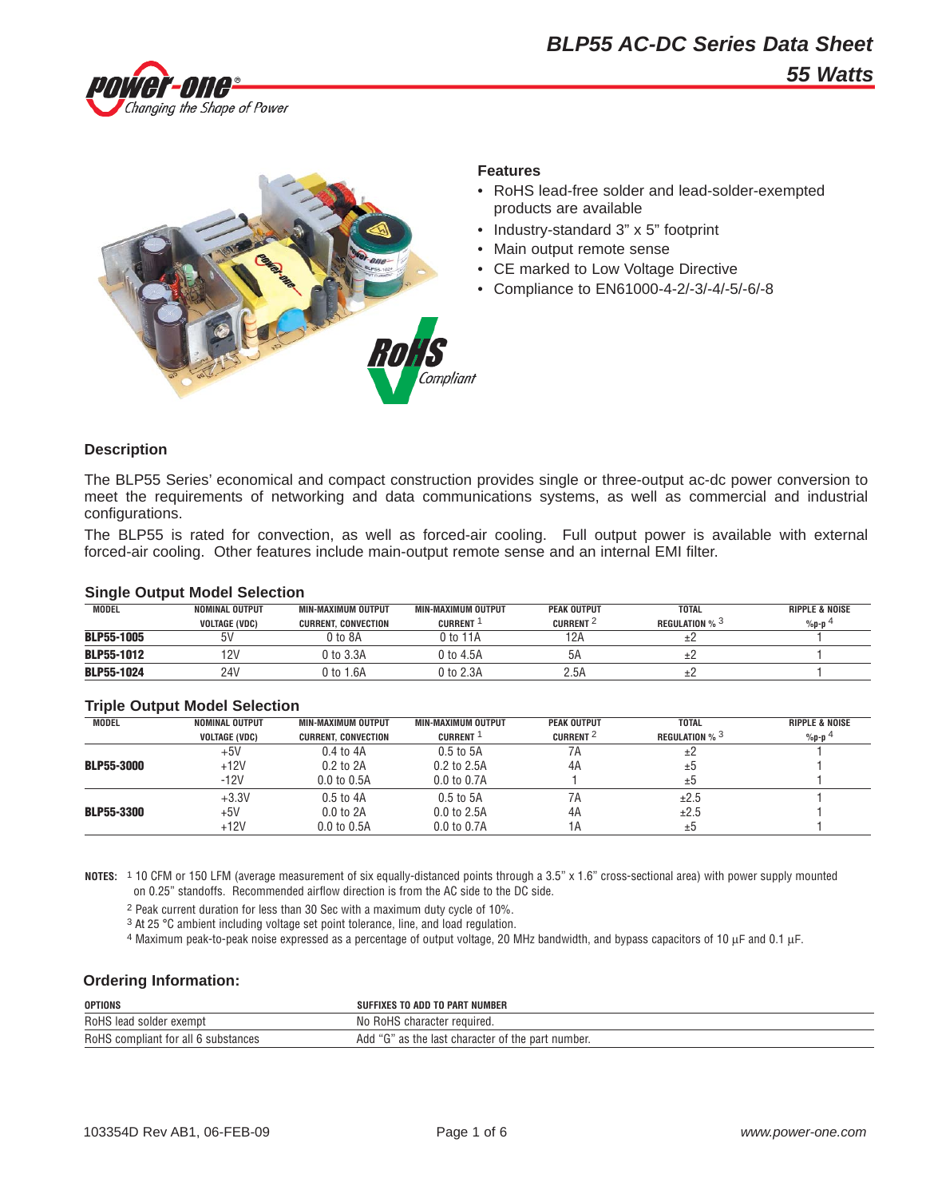



#### **Features**

- RoHS lead-free solder and lead-solder-exempted products are available
- Industry-standard 3" x 5" footprint
- Main output remote sense
- CE marked to Low Voltage Directive
- Compliance to EN61000-4-2/-3/-4/-5/-6/-8

### **Description**

The BLP55 Series' economical and compact construction provides single or three-output ac-dc power conversion to meet the requirements of networking and data communications systems, as well as commercial and industrial configurations.

The BLP55 is rated for convection, as well as forced-air cooling. Full output power is available with external forced-air cooling. Other features include main-output remote sense and an internal EMI filter.

### **Single Output Model Selection**

| MODEL             | NOMINAL OUTPUT       | MIN-MAXIMUM OUTPUT         | MIN-MAXIMUM OUTPUT | <b>PEAK OUTPUT</b>   | <b>TOTAL</b>                      | <b>RIPPLE &amp; NOISE</b> |
|-------------------|----------------------|----------------------------|--------------------|----------------------|-----------------------------------|---------------------------|
|                   | <b>VOLTAGE (VDC)</b> | <b>CURRENT, CONVECTION</b> | <b>CURRENT</b>     | CURRENT <sup>2</sup> | <b>REGULATION</b> % $\frac{3}{2}$ | $%p-p$ <sup>4</sup>       |
| <b>BLP55-1005</b> |                      | 0 to 8A                    | ) to 1             | 12A                  |                                   |                           |
| <b>BLP55-1012</b> | 12V                  | 0 to 3.3A                  | 0 to 4.5A          | 5Α                   |                                   |                           |
| <b>BLP55-1024</b> | 24V                  | 0 to 1.6A                  | ን to 2.3A          | 2.5A                 |                                   |                           |

## **Triple Output Model Selection**

| <b>MODEL</b>      | <b>NOMINAL OUTPUT</b> | MIN-MAXIMUM OUTPUT         | MIN-MAXIMUM OUTPUT | <b>PEAK OUTPUT</b>   | <b>TOTAL</b>          | <b>RIPPLE &amp; NOISE</b> |
|-------------------|-----------------------|----------------------------|--------------------|----------------------|-----------------------|---------------------------|
|                   | <b>VOLTAGE (VDC)</b>  | <b>CURRENT, CONVECTION</b> | <b>CURRENT</b>     | CURRENT <sup>2</sup> | <b>REGULATION % 3</b> | $%p-p$ <sup>4</sup>       |
|                   | $+5V$                 | $0.4$ to $4A$              | $0.5$ to $5A$      | 7Α                   | ±2                    |                           |
| <b>BLP55-3000</b> | $+12V$                | $0.2$ to $2A$              | $0.2$ to $2.5A$    | 4A                   | ±5                    |                           |
|                   | $-12V$                | $0.0$ to $0.5A$            | 0.0 to 0.7A        |                      | ±b                    |                           |
|                   | $+3.3V$               | $0.5$ to $4A$              | $0.5$ to $5A$      | 7A                   | ±2.5                  |                           |
| <b>BLP55-3300</b> | $+5V$                 | $0.0$ to $2A$              | $0.0$ to 2.5A      | 4A                   | ±2.5                  |                           |
|                   | $+12V$                | 0.0 to 0.5A                | 0.0 to 0.7A        | 1A                   | ±b                    |                           |

**NOTES:** 1 10 CFM or 150 LFM (average measurement of six equally-distanced points through a 3.5" x 1.6" cross-sectional area) with power supply mounted on 0.25" standoffs. Recommended airflow direction is from the AC side to the DC side.

2 Peak current duration for less than 30 Sec with a maximum duty cycle of 10%.

3 At 25 °C ambient including voltage set point tolerance, line, and load regulation.

 $4$  Maximum peak-to-peak noise expressed as a percentage of output voltage, 20 MHz bandwidth, and bypass capacitors of 10 μF and 0.1 μF.

### **Ordering Information:**

| <b>OPTIONS</b>                             | <b>NUMBER</b><br>TO PART<br>TO ADD<br>-IXES                |
|--------------------------------------------|------------------------------------------------------------|
| RoHS<br>exempt<br>lead solder ر            | No<br>RoHS character<br>· required.                        |
| RoHS<br>` compliant for all 6 substances ` | Add<br>ا the last character of the part ا<br>number.<br>d۵ |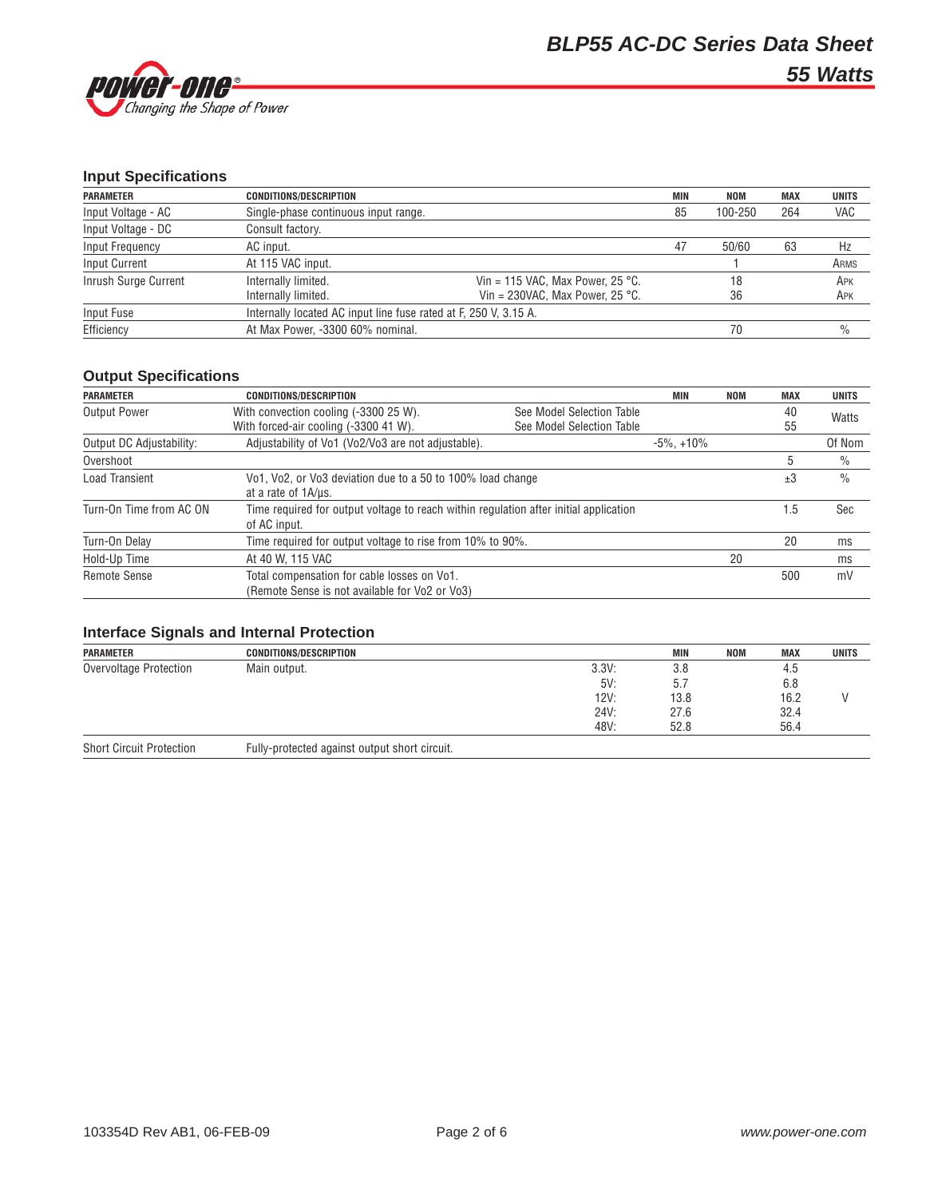

# **Input Specifications**

| <b>PARAMETER</b>     | <b>CONDITIONS/DESCRIPTION</b>                                    |                                           | <b>MIN</b> | NOM     | <b>MAX</b> | <b>UNITS</b> |
|----------------------|------------------------------------------------------------------|-------------------------------------------|------------|---------|------------|--------------|
| Input Voltage - AC   | Single-phase continuous input range.                             |                                           | 85         | 100-250 | 264        | VAC          |
| Input Voltage - DC   | Consult factory.                                                 |                                           |            |         |            |              |
| Input Frequency      | AC input.                                                        |                                           | 47         | 50/60   | 63         | Hz           |
| <b>Input Current</b> | At 115 VAC input.                                                |                                           |            |         |            | ARMS         |
| Inrush Surge Current | Internally limited.                                              | Vin = 115 VAC, Max Power, 25 °C.          |            | 18      |            | APK          |
|                      | Internally limited.                                              | Vin = 230VAC. Max Power. 25 $^{\circ}$ C. |            | 36      |            | APK          |
| Input Fuse           | Internally located AC input line fuse rated at F, 250 V, 3.15 A. |                                           |            |         |            |              |
| Efficiency           | At Max Power, -3300 60% nominal.                                 |                                           |            | 70      |            | $\%$         |

# **Output Specifications**

| <b>PARAMETER</b>         | <b>CONDITIONS/DESCRIPTION</b>                                                                         |                                                        | MIN              | <b>NOM</b> | <b>MAX</b> | <b>UNITS</b>  |
|--------------------------|-------------------------------------------------------------------------------------------------------|--------------------------------------------------------|------------------|------------|------------|---------------|
| <b>Output Power</b>      | With convection cooling (-3300 25 W).<br>With forced-air cooling (-3300 41 W).                        | See Model Selection Table<br>See Model Selection Table |                  |            | 40<br>55   | Watts         |
| Output DC Adjustability: | Adjustability of Vo1 (Vo2/Vo3 are not adjustable).                                                    |                                                        | $-5\%$ . $+10\%$ |            |            | Of Nom        |
| Overshoot                |                                                                                                       |                                                        |                  |            | .5         | $\%$          |
| Load Transient           | Vo1, Vo2, or Vo3 deviation due to a 50 to 100% load change<br>at a rate of 1A/us.                     |                                                        |                  |            | ±3         | $\frac{0}{0}$ |
| Turn-On Time from AC ON  | Time required for output voltage to reach within regulation after initial application<br>of AC input. |                                                        |                  |            | 1.5        | Sec           |
| Turn-On Delay            | Time required for output voltage to rise from 10% to 90%.                                             |                                                        |                  |            | 20         | ms            |
| Hold-Up Time             | At 40 W. 115 VAC                                                                                      |                                                        |                  | 20         |            | ms            |
| <b>Remote Sense</b>      | Total compensation for cable losses on Vo1.<br>(Remote Sense is not available for Vo2 or Vo3)         |                                                        |                  |            | 500        | mV            |

## **Interface Signals and Internal Protection**

| <b>PARAMETER</b>                | <b>CONDITIONS/DESCRIPTION</b>                 |       | <b>MIN</b> | <b>NOM</b> | <b>MAX</b> | <b>UNITS</b> |
|---------------------------------|-----------------------------------------------|-------|------------|------------|------------|--------------|
| Overvoltage Protection          | Main output.                                  | 3.3V: | 3.8        |            | 4.5        |              |
|                                 |                                               | 5V:   | b.         |            | 6.8        |              |
|                                 |                                               | 12V:  | 13.8       |            | 16.2       |              |
|                                 |                                               | 24V:  | 27.6       |            | 32.4       |              |
|                                 |                                               | 48V:  | 52.8       |            | 56.4       |              |
| <b>Short Circuit Protection</b> | Fully-protected against output short circuit. |       |            |            |            |              |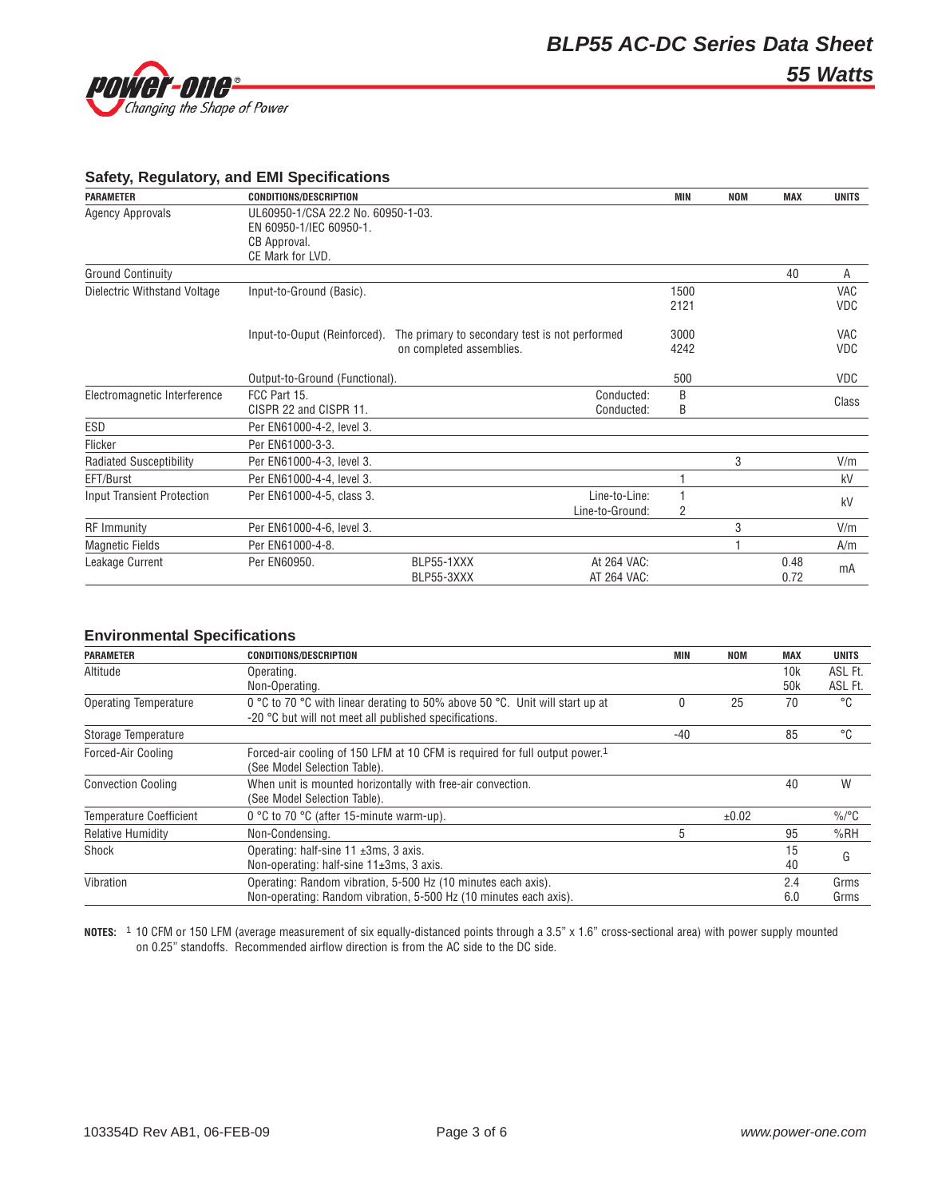

## **Safety, Regulatory, and EMI Specifications**

| <b>PARAMETER</b>                  | <b>CONDITIONS/DESCRIPTION</b>      |                                                | MIN  | <b>NOM</b> | <b>MAX</b> | <b>UNITS</b> |
|-----------------------------------|------------------------------------|------------------------------------------------|------|------------|------------|--------------|
| <b>Agency Approvals</b>           | UL60950-1/CSA 22.2 No. 60950-1-03. |                                                |      |            |            |              |
|                                   | EN 60950-1/IEC 60950-1.            |                                                |      |            |            |              |
|                                   | CB Approval.                       |                                                |      |            |            |              |
|                                   | CE Mark for LVD.                   |                                                |      |            |            |              |
| <b>Ground Continuity</b>          |                                    |                                                |      |            | 40         | A            |
| Dielectric Withstand Voltage      | Input-to-Ground (Basic).           |                                                | 1500 |            |            | <b>VAC</b>   |
|                                   |                                    |                                                | 2121 |            |            | <b>VDC</b>   |
|                                   | Input-to-Ouput (Reinforced).       | The primary to secondary test is not performed | 3000 |            |            | <b>VAC</b>   |
|                                   |                                    | on completed assemblies.                       | 4242 |            |            | <b>VDC</b>   |
|                                   | Output-to-Ground (Functional).     |                                                | 500  |            |            | <b>VDC</b>   |
| Electromagnetic Interference      | FCC Part 15.                       | Conducted:                                     | B    |            |            |              |
|                                   | CISPR 22 and CISPR 11.             | Conducted:                                     | B    |            |            | Class        |
| ESD                               | Per EN61000-4-2, level 3.          |                                                |      |            |            |              |
| Flicker                           | Per EN61000-3-3.                   |                                                |      |            |            |              |
| <b>Radiated Susceptibility</b>    | Per EN61000-4-3, level 3.          |                                                |      | 3          |            | V/m          |
| EFT/Burst                         | Per EN61000-4-4, level 3.          |                                                |      |            |            | kV           |
| <b>Input Transient Protection</b> | Per EN61000-4-5, class 3.          | Line-to-Line:                                  |      |            |            | kV           |
|                                   |                                    | Line-to-Ground:                                | 2    |            |            |              |
| <b>RF</b> Immunity                | Per EN61000-4-6, level 3.          |                                                |      | 3          |            | V/m          |
| <b>Magnetic Fields</b>            | Per EN61000-4-8.                   |                                                |      |            |            | A/m          |
| Leakage Current                   | Per EN60950.                       | BLP55-1XXX<br>At 264 VAC:                      |      |            | 0.48       | mA           |
|                                   |                                    | AT 264 VAC:<br>BLP55-3XXX                      |      |            | 0.72       |              |

## **Environmental Specifications**

| <b>PARAMETER</b>               | <b>CONDITIONS/DESCRIPTION</b>                                                           | MIN   | <b>NOM</b> | <b>MAX</b>      | <b>UNITS</b> |
|--------------------------------|-----------------------------------------------------------------------------------------|-------|------------|-----------------|--------------|
| Altitude                       | Operating.                                                                              |       |            | 10k             | ASL Ft.      |
|                                | Non-Operating.                                                                          |       |            | 50 <sub>k</sub> | ASL Ft.      |
| <b>Operating Temperature</b>   | 0 °C to 70 °C with linear derating to 50% above 50 °C. Unit will start up at            | 0     | 25         | 70              | °C           |
|                                | -20 °C but will not meet all published specifications.                                  |       |            |                 |              |
| Storage Temperature            |                                                                                         | $-40$ |            | 85              | °C           |
| Forced-Air Cooling             | Forced-air cooling of 150 LFM at 10 CFM is required for full output power. <sup>1</sup> |       |            |                 |              |
|                                | (See Model Selection Table).                                                            |       |            |                 |              |
| <b>Convection Cooling</b>      | When unit is mounted horizontally with free-air convection.                             |       |            | 40              | W            |
|                                | (See Model Selection Table).                                                            |       |            |                 |              |
| <b>Temperature Coefficient</b> | 0 °C to 70 °C (after 15-minute warm-up).                                                |       | ±0.02      |                 | $\%$ /°C     |
| <b>Relative Humidity</b>       | Non-Condensing.                                                                         | 5     |            | 95              | %RH          |
| Shock                          | Operating: half-sine $11 \pm 3$ ms, 3 axis.                                             |       |            | 15              | G            |
|                                | Non-operating: half-sine $11\pm 3$ ms, 3 axis.                                          |       |            | 40              |              |
| Vibration                      | Operating: Random vibration, 5-500 Hz (10 minutes each axis).                           |       |            | 2.4             | Grms         |
|                                | Non-operating: Random vibration, 5-500 Hz (10 minutes each axis).                       |       |            | 6.0             | Grms         |

**NOTES:** 1 10 CFM or 150 LFM (average measurement of six equally-distanced points through a 3.5" x 1.6" cross-sectional area) with power supply mounted on 0.25" standoffs. Recommended airflow direction is from the AC side to the DC side.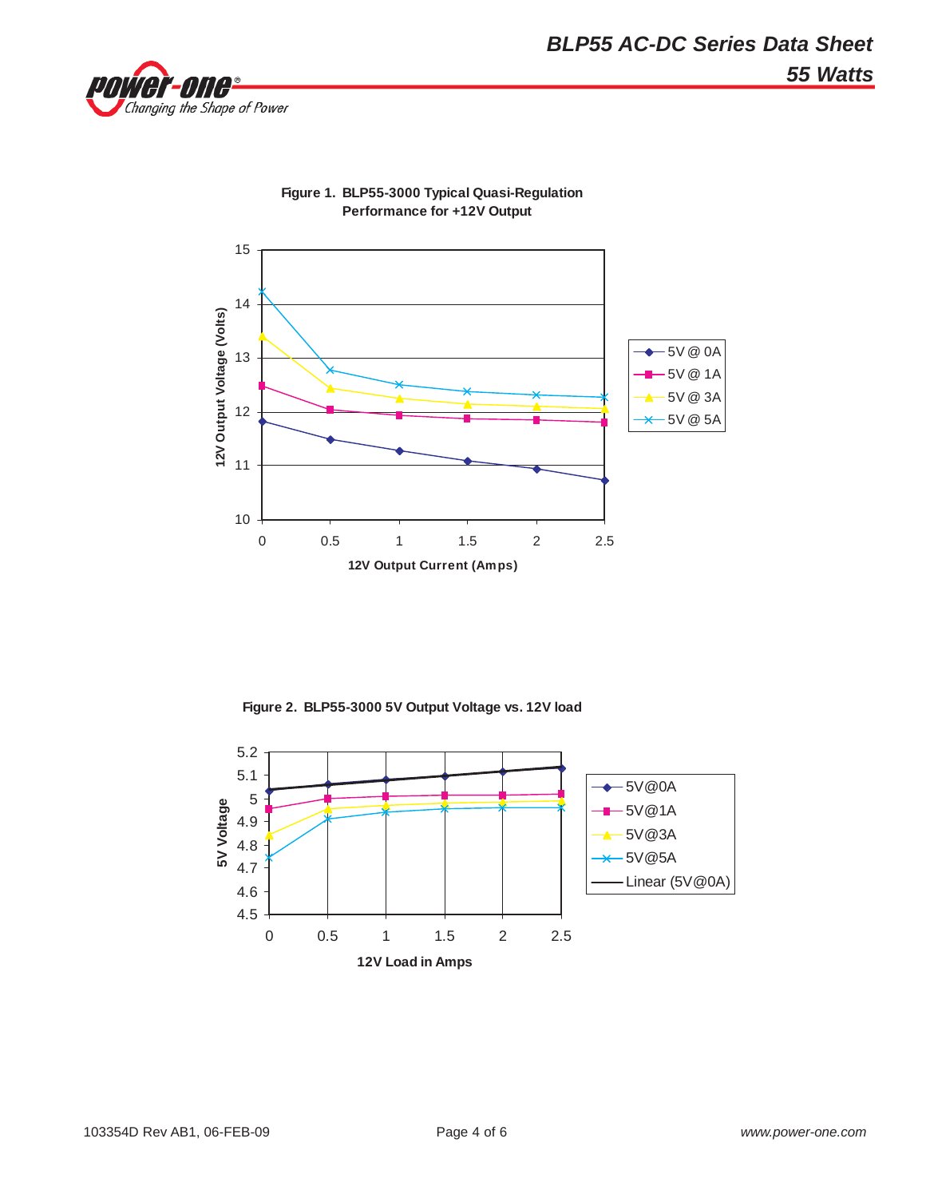



**Figure 1. BLP55-3000 Typical Quasi-Regulation Performance for +12V Output**

**Figure 2. BLP55-3000 5V Output Voltage vs. 12V load**

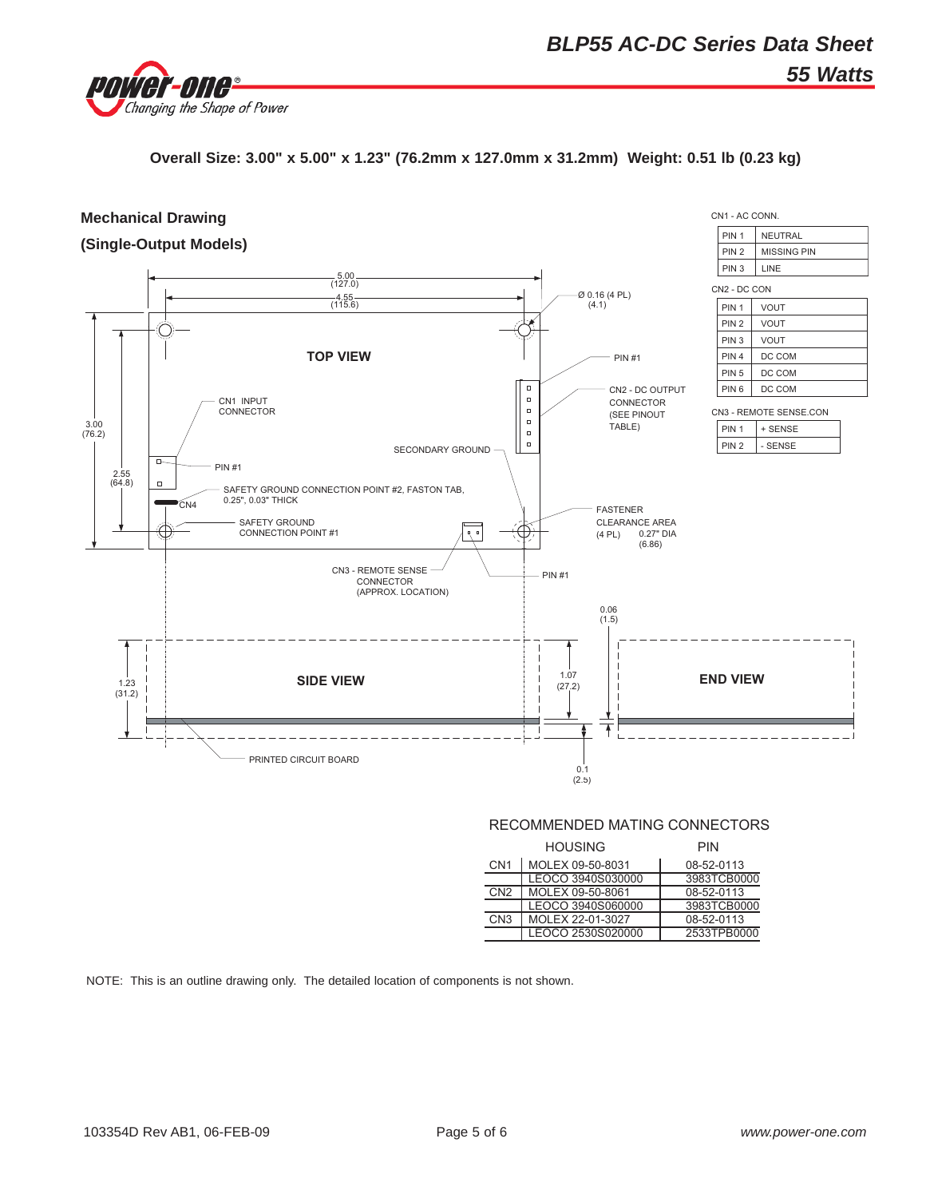

**Overall Size: 3.00" x 5.00" x 1.23" (76.2mm x 127.0mm x 31.2mm) Weight: 0.51 lb (0.23 kg)**



#### RECOMMENDED MATING CONNECTORS

|                  | <b>HOUSING</b>    | <b>PIN</b>  |
|------------------|-------------------|-------------|
| CN <sub>1</sub>  | MOLEX 09-50-8031  | 08-52-0113  |
|                  | LEOCO 3940S030000 | 3983TCB0000 |
| C <sub>N</sub> 2 | MOLEX 09-50-8061  | 08-52-0113  |
|                  | LEOCO 3940S060000 | 3983TCB0000 |
| CN <sub>3</sub>  | MOLEX 22-01-3027  | 08-52-0113  |
|                  | LEOCO 2530S020000 | 2533TPB0000 |

NOTE: This is an outline drawing only. The detailed location of components is not shown.